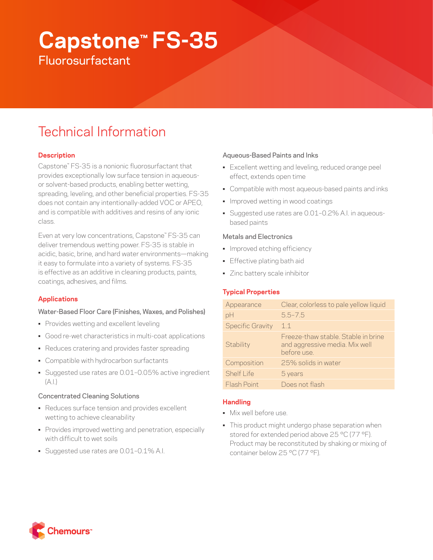# **Capstone™ FS-35**

**Fluorosurfactant** 

# Technical Information

# **Description**

Capstone™ FS-35 is a nonionic fluorosurfactant that provides exceptionally low surface tension in aqueousor solvent-based products, enabling better wetting, spreading, leveling, and other beneficial properties. FS-35 does not contain any intentionally-added VOC or APEO, and is compatible with additives and resins of any ionic class.

Even at very low concentrations, Capstone™ FS-35 can deliver tremendous wetting power. FS-35 is stable in acidic, basic, brine, and hard water environments—making it easy to formulate into a variety of systems. FS-35 is effective as an additive in cleaning products, paints, coatings, adhesives, and films.

# **Applications**

# Water-Based Floor Care (Finishes, Waxes, and Polishes)

- Provides wetting and excellent leveling
- Good re-wet characteristics in multi-coat applications
- Reduces cratering and provides faster spreading
- Compatible with hydrocarbon surfactants
- Suggested use rates are 0.01–0.05% active ingredient (A.I.)

# Concentrated Cleaning Solutions

- Reduces surface tension and provides excellent wetting to achieve cleanability
- Provides improved wetting and penetration, especially with difficult to wet soils
- Suggested use rates are 0.01–0.1% A.I.

# Aqueous-Based Paints and Inks

- Excellent wetting and leveling, reduced orange peel effect, extends open time
- Compatible with most aqueous-based paints and inks
- Improved wetting in wood coatings
- Suggested use rates are 0.01–0.2% A.I. in aqueousbased paints

# Metals and Electronics

- Improved etching efficiency
- Effective plating bath aid
- Zinc battery scale inhibitor

# **Typical Properties**

| Appearance              | Clear, colorless to pale yellow liquid                                              |
|-------------------------|-------------------------------------------------------------------------------------|
| pH                      | $5.5 - 7.5$                                                                         |
| <b>Specific Gravity</b> | 11                                                                                  |
| Stability               | Freeze-thaw stable. Stable in brine<br>and aggressive media. Mix well<br>before use |
| Composition             | 25% solids in water                                                                 |
| Shelf I ife             | 5 years                                                                             |
| Flash Point             | Does not flash                                                                      |

# **Handling**

- Mix well before use.
- This product might undergo phase separation when stored for extended period above 25 °C (77 °F). Product may be reconstituted by shaking or mixing of container below 25 °C (77 °F).